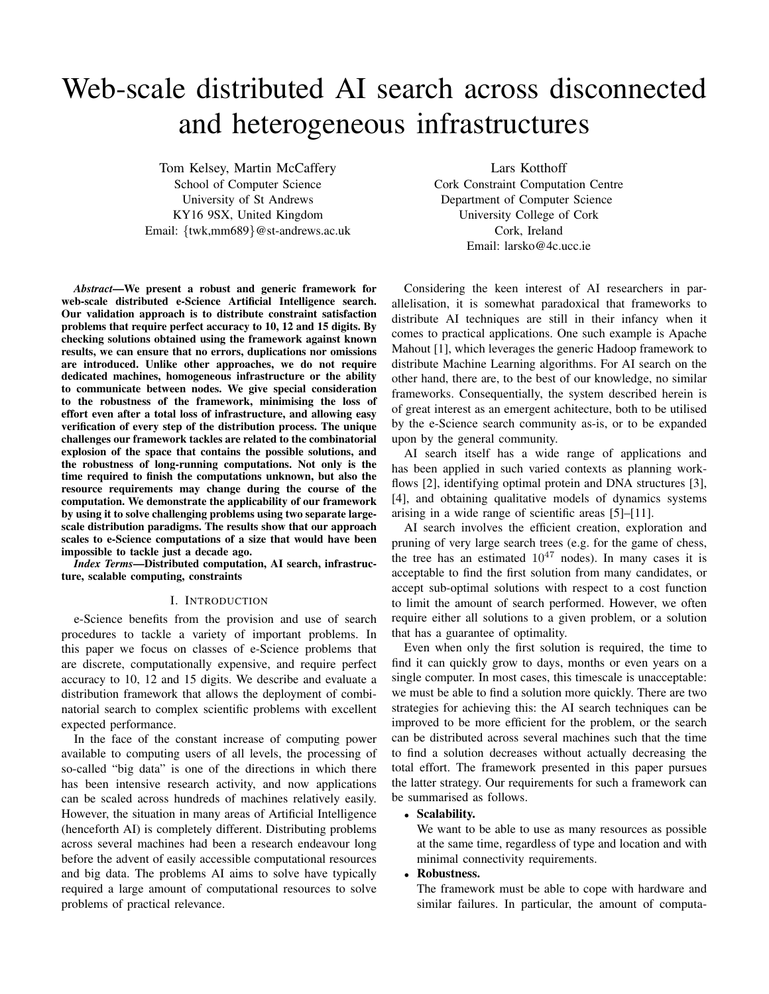# Web-scale distributed AI search across disconnected and heterogeneous infrastructures

Tom Kelsey, Martin McCaffery

School of Computer Science University of St Andrews KY16 9SX, United Kingdom Email: {twk,mm689}@st-andrews.ac.uk

*Abstract*—We present a robust and generic framework for web-scale distributed e-Science Artificial Intelligence search. Our validation approach is to distribute constraint satisfaction problems that require perfect accuracy to 10, 12 and 15 digits. By checking solutions obtained using the framework against known results, we can ensure that no errors, duplications nor omissions are introduced. Unlike other approaches, we do not require dedicated machines, homogeneous infrastructure or the ability to communicate between nodes. We give special consideration to the robustness of the framework, minimising the loss of effort even after a total loss of infrastructure, and allowing easy verification of every step of the distribution process. The unique challenges our framework tackles are related to the combinatorial explosion of the space that contains the possible solutions, and the robustness of long-running computations. Not only is the time required to finish the computations unknown, but also the resource requirements may change during the course of the computation. We demonstrate the applicability of our framework by using it to solve challenging problems using two separate largescale distribution paradigms. The results show that our approach scales to e-Science computations of a size that would have been impossible to tackle just a decade ago.

*Index Terms*—Distributed computation, AI search, infrastructure, scalable computing, constraints

### I. INTRODUCTION

e-Science benefits from the provision and use of search procedures to tackle a variety of important problems. In this paper we focus on classes of e-Science problems that are discrete, computationally expensive, and require perfect accuracy to 10, 12 and 15 digits. We describe and evaluate a distribution framework that allows the deployment of combinatorial search to complex scientific problems with excellent expected performance.

In the face of the constant increase of computing power available to computing users of all levels, the processing of so-called "big data" is one of the directions in which there has been intensive research activity, and now applications can be scaled across hundreds of machines relatively easily. However, the situation in many areas of Artificial Intelligence (henceforth AI) is completely different. Distributing problems across several machines had been a research endeavour long before the advent of easily accessible computational resources and big data. The problems AI aims to solve have typically required a large amount of computational resources to solve problems of practical relevance.

Lars Kotthoff

Cork Constraint Computation Centre Department of Computer Science University College of Cork Cork, Ireland Email: larsko@4c.ucc.ie

Considering the keen interest of AI researchers in parallelisation, it is somewhat paradoxical that frameworks to distribute AI techniques are still in their infancy when it comes to practical applications. One such example is Apache Mahout [1], which leverages the generic Hadoop framework to distribute Machine Learning algorithms. For AI search on the other hand, there are, to the best of our knowledge, no similar frameworks. Consequentially, the system described herein is of great interest as an emergent achitecture, both to be utilised by the e-Science search community as-is, or to be expanded upon by the general community.

AI search itself has a wide range of applications and has been applied in such varied contexts as planning workflows [2], identifying optimal protein and DNA structures [3], [4], and obtaining qualitative models of dynamics systems arising in a wide range of scientific areas [5]–[11].

AI search involves the efficient creation, exploration and pruning of very large search trees (e.g. for the game of chess, the tree has an estimated  $10^{47}$  nodes). In many cases it is acceptable to find the first solution from many candidates, or accept sub-optimal solutions with respect to a cost function to limit the amount of search performed. However, we often require either all solutions to a given problem, or a solution that has a guarantee of optimality.

Even when only the first solution is required, the time to find it can quickly grow to days, months or even years on a single computer. In most cases, this timescale is unacceptable: we must be able to find a solution more quickly. There are two strategies for achieving this: the AI search techniques can be improved to be more efficient for the problem, or the search can be distributed across several machines such that the time to find a solution decreases without actually decreasing the total effort. The framework presented in this paper pursues the latter strategy. Our requirements for such a framework can be summarised as follows.

## • Scalability.

We want to be able to use as many resources as possible at the same time, regardless of type and location and with minimal connectivity requirements.

#### • Robustness.

The framework must be able to cope with hardware and similar failures. In particular, the amount of computa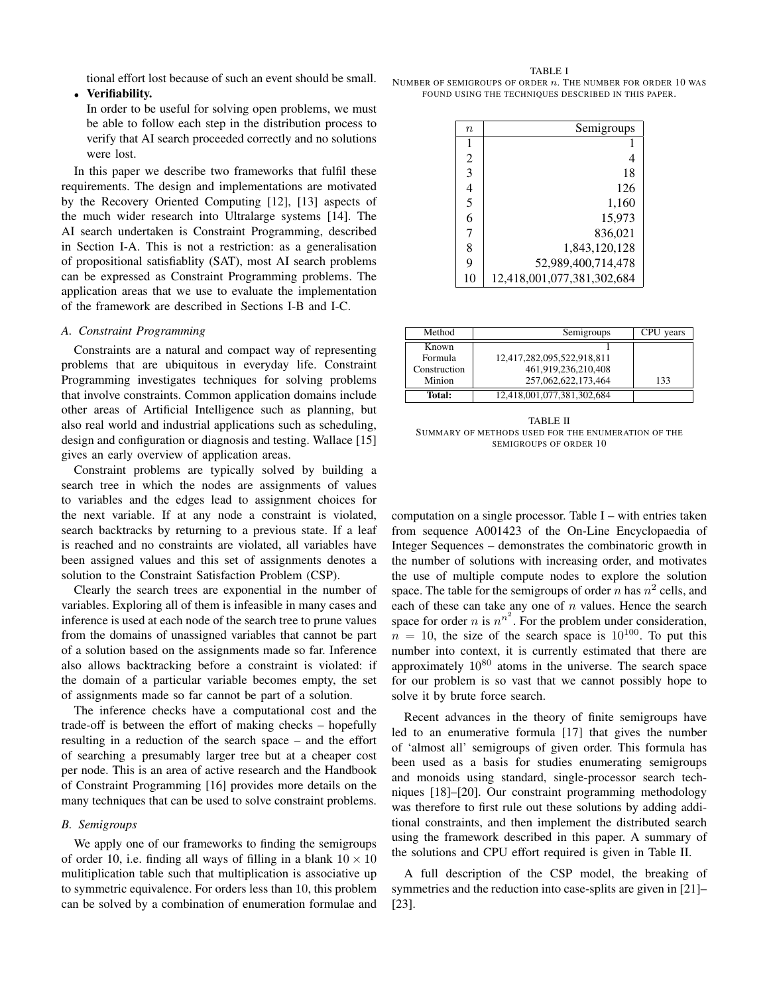tional effort lost because of such an event should be small.

## • Verifiability.

In order to be useful for solving open problems, we must be able to follow each step in the distribution process to verify that AI search proceeded correctly and no solutions were lost.

In this paper we describe two frameworks that fulfil these requirements. The design and implementations are motivated by the Recovery Oriented Computing [12], [13] aspects of the much wider research into Ultralarge systems [14]. The AI search undertaken is Constraint Programming, described in Section I-A. This is not a restriction: as a generalisation of propositional satisfiablity (SAT), most AI search problems can be expressed as Constraint Programming problems. The application areas that we use to evaluate the implementation of the framework are described in Sections I-B and I-C.

## *A. Constraint Programming*

Constraints are a natural and compact way of representing problems that are ubiquitous in everyday life. Constraint Programming investigates techniques for solving problems that involve constraints. Common application domains include other areas of Artificial Intelligence such as planning, but also real world and industrial applications such as scheduling, design and configuration or diagnosis and testing. Wallace [15] gives an early overview of application areas.

Constraint problems are typically solved by building a search tree in which the nodes are assignments of values to variables and the edges lead to assignment choices for the next variable. If at any node a constraint is violated, search backtracks by returning to a previous state. If a leaf is reached and no constraints are violated, all variables have been assigned values and this set of assignments denotes a solution to the Constraint Satisfaction Problem (CSP).

Clearly the search trees are exponential in the number of variables. Exploring all of them is infeasible in many cases and inference is used at each node of the search tree to prune values from the domains of unassigned variables that cannot be part of a solution based on the assignments made so far. Inference also allows backtracking before a constraint is violated: if the domain of a particular variable becomes empty, the set of assignments made so far cannot be part of a solution.

The inference checks have a computational cost and the trade-off is between the effort of making checks – hopefully resulting in a reduction of the search space – and the effort of searching a presumably larger tree but at a cheaper cost per node. This is an area of active research and the Handbook of Constraint Programming [16] provides more details on the many techniques that can be used to solve constraint problems.

## *B. Semigroups*

We apply one of our frameworks to finding the semigroups of order 10, i.e. finding all ways of filling in a blank  $10 \times 10$ mulitiplication table such that multiplication is associative up to symmetric equivalence. For orders less than 10, this problem can be solved by a combination of enumeration formulae and

TABLE I NUMBER OF SEMIGROUPS OF ORDER  $n$ . The number for order 10 was FOUND USING THE TECHNIQUES DESCRIBED IN THIS PAPER.

| $\it{n}$       | Semigroups                 |
|----------------|----------------------------|
|                |                            |
| $\overline{2}$ | 4                          |
| 3              | 18                         |
| 4              | 126                        |
| 5              | 1,160                      |
| 6              | 15,973                     |
| 7              | 836,021                    |
| 8              | 1,843,120,128              |
| 9              | 52,989,400,714,478         |
| 10             | 12,418,001,077,381,302,684 |
|                |                            |

| Method       | Semigroups                 | years |
|--------------|----------------------------|-------|
| Known        |                            |       |
| Formula      | 12,417,282,095,522,918,811 |       |
| Construction | 461,919,236,210,408        |       |
| Minion       | 257.062.622.173.464        | 133   |
| Total:       | 12,418,001,077,381,302,684 |       |

TABLE II SUMMARY OF METHODS USED FOR THE ENUMERATION OF THE SEMIGROUPS OF ORDER 10

computation on a single processor. Table I – with entries taken from sequence A001423 of the On-Line Encyclopaedia of Integer Sequences – demonstrates the combinatoric growth in the number of solutions with increasing order, and motivates the use of multiple compute nodes to explore the solution space. The table for the semigroups of order n has  $n^2$  cells, and each of these can take any one of  $n$  values. Hence the search space for order *n* is  $n^{n^2}$ . For the problem under consideration,  $n = 10$ , the size of the search space is  $10^{100}$ . To put this number into context, it is currently estimated that there are approximately  $10^{80}$  atoms in the universe. The search space for our problem is so vast that we cannot possibly hope to solve it by brute force search.

Recent advances in the theory of finite semigroups have led to an enumerative formula [17] that gives the number of 'almost all' semigroups of given order. This formula has been used as a basis for studies enumerating semigroups and monoids using standard, single-processor search techniques [18]–[20]. Our constraint programming methodology was therefore to first rule out these solutions by adding additional constraints, and then implement the distributed search using the framework described in this paper. A summary of the solutions and CPU effort required is given in Table II.

A full description of the CSP model, the breaking of symmetries and the reduction into case-splits are given in [21]– [23].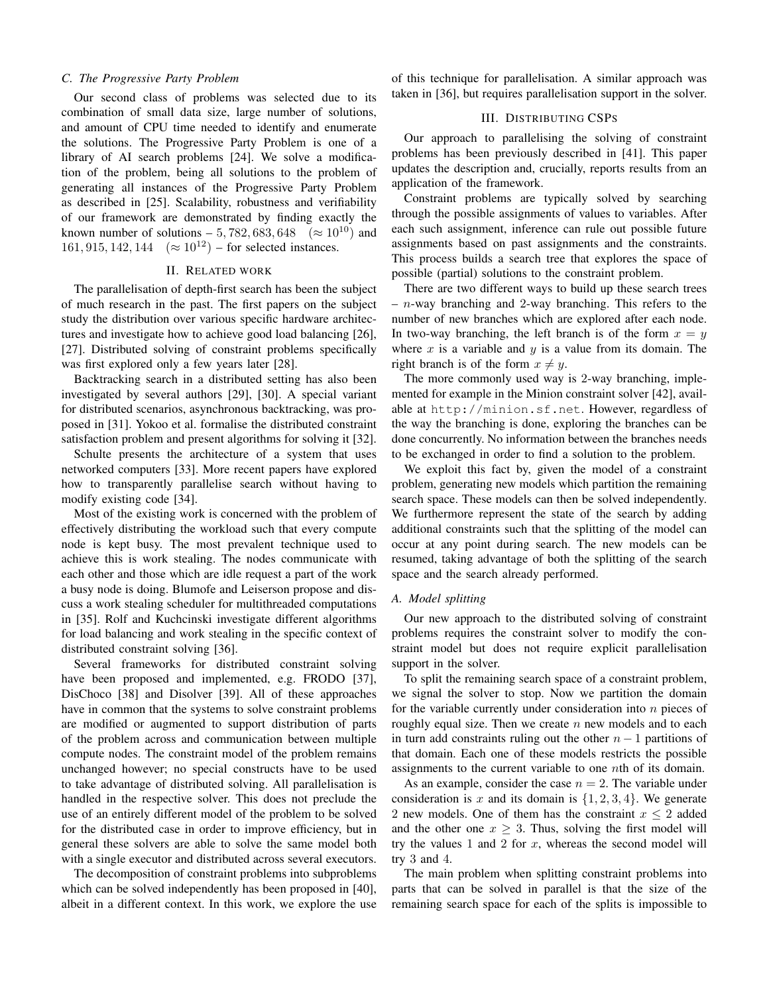#### *C. The Progressive Party Problem*

Our second class of problems was selected due to its combination of small data size, large number of solutions, and amount of CPU time needed to identify and enumerate the solutions. The Progressive Party Problem is one of a library of AI search problems [24]. We solve a modification of the problem, being all solutions to the problem of generating all instances of the Progressive Party Problem as described in [25]. Scalability, robustness and verifiability of our framework are demonstrated by finding exactly the known number of solutions – 5, 782, 683, 648 ( $\approx 10^{10}$ ) and 161, 915, 142, 144 ( $\approx 10^{12}$ ) – for selected instances.

#### II. RELATED WORK

The parallelisation of depth-first search has been the subject of much research in the past. The first papers on the subject study the distribution over various specific hardware architectures and investigate how to achieve good load balancing [26], [27]. Distributed solving of constraint problems specifically was first explored only a few years later [28].

Backtracking search in a distributed setting has also been investigated by several authors [29], [30]. A special variant for distributed scenarios, asynchronous backtracking, was proposed in [31]. Yokoo et al. formalise the distributed constraint satisfaction problem and present algorithms for solving it [32].

Schulte presents the architecture of a system that uses networked computers [33]. More recent papers have explored how to transparently parallelise search without having to modify existing code [34].

Most of the existing work is concerned with the problem of effectively distributing the workload such that every compute node is kept busy. The most prevalent technique used to achieve this is work stealing. The nodes communicate with each other and those which are idle request a part of the work a busy node is doing. Blumofe and Leiserson propose and discuss a work stealing scheduler for multithreaded computations in [35]. Rolf and Kuchcinski investigate different algorithms for load balancing and work stealing in the specific context of distributed constraint solving [36].

Several frameworks for distributed constraint solving have been proposed and implemented, e.g. FRODO [37], DisChoco [38] and Disolver [39]. All of these approaches have in common that the systems to solve constraint problems are modified or augmented to support distribution of parts of the problem across and communication between multiple compute nodes. The constraint model of the problem remains unchanged however; no special constructs have to be used to take advantage of distributed solving. All parallelisation is handled in the respective solver. This does not preclude the use of an entirely different model of the problem to be solved for the distributed case in order to improve efficiency, but in general these solvers are able to solve the same model both with a single executor and distributed across several executors.

The decomposition of constraint problems into subproblems which can be solved independently has been proposed in [40], albeit in a different context. In this work, we explore the use

of this technique for parallelisation. A similar approach was taken in [36], but requires parallelisation support in the solver.

## III. DISTRIBUTING CSPS

Our approach to parallelising the solving of constraint problems has been previously described in [41]. This paper updates the description and, crucially, reports results from an application of the framework.

Constraint problems are typically solved by searching through the possible assignments of values to variables. After each such assignment, inference can rule out possible future assignments based on past assignments and the constraints. This process builds a search tree that explores the space of possible (partial) solutions to the constraint problem.

There are two different ways to build up these search trees  $- n$ -way branching and 2-way branching. This refers to the number of new branches which are explored after each node. In two-way branching, the left branch is of the form  $x = y$ where  $x$  is a variable and  $y$  is a value from its domain. The right branch is of the form  $x \neq y$ .

The more commonly used way is 2-way branching, implemented for example in the Minion constraint solver [42], available at http://minion.sf.net. However, regardless of the way the branching is done, exploring the branches can be done concurrently. No information between the branches needs to be exchanged in order to find a solution to the problem.

We exploit this fact by, given the model of a constraint problem, generating new models which partition the remaining search space. These models can then be solved independently. We furthermore represent the state of the search by adding additional constraints such that the splitting of the model can occur at any point during search. The new models can be resumed, taking advantage of both the splitting of the search space and the search already performed.

## *A. Model splitting*

Our new approach to the distributed solving of constraint problems requires the constraint solver to modify the constraint model but does not require explicit parallelisation support in the solver.

To split the remaining search space of a constraint problem, we signal the solver to stop. Now we partition the domain for the variable currently under consideration into  $n$  pieces of roughly equal size. Then we create  $n$  new models and to each in turn add constraints ruling out the other  $n - 1$  partitions of that domain. Each one of these models restricts the possible assignments to the current variable to one nth of its domain.

As an example, consider the case  $n = 2$ . The variable under consideration is x and its domain is  $\{1, 2, 3, 4\}$ . We generate 2 new models. One of them has the constraint  $x \le 2$  added and the other one  $x \geq 3$ . Thus, solving the first model will try the values 1 and 2 for  $x$ , whereas the second model will try 3 and 4.

The main problem when splitting constraint problems into parts that can be solved in parallel is that the size of the remaining search space for each of the splits is impossible to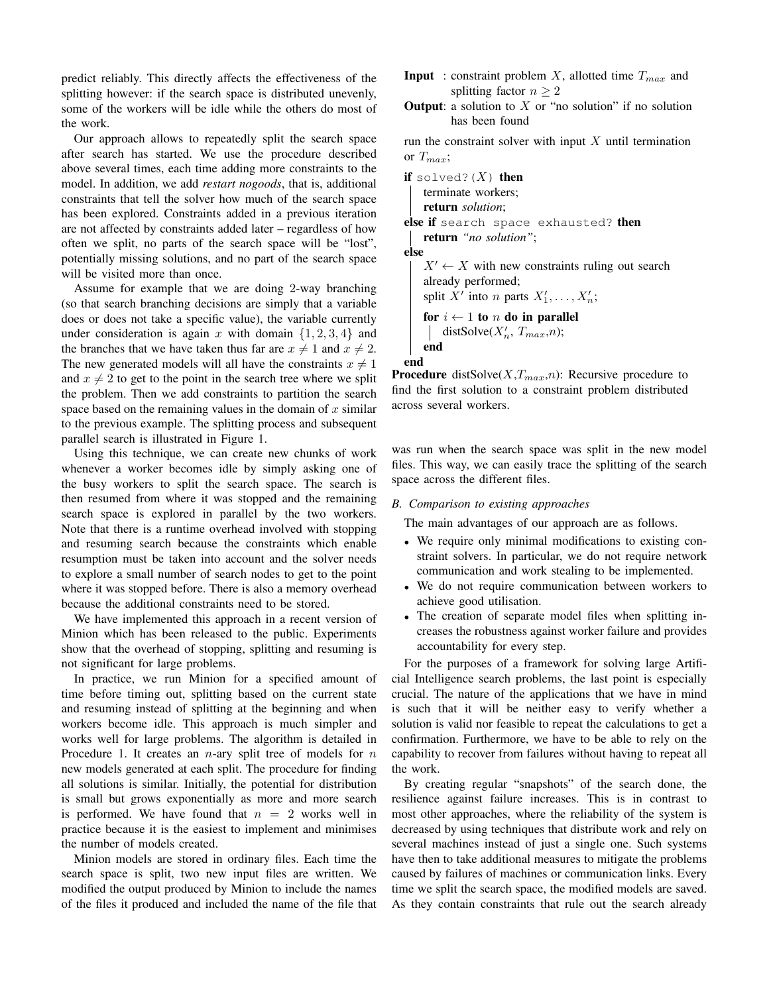predict reliably. This directly affects the effectiveness of the splitting however: if the search space is distributed unevenly, some of the workers will be idle while the others do most of the work.

Our approach allows to repeatedly split the search space after search has started. We use the procedure described above several times, each time adding more constraints to the model. In addition, we add *restart nogoods*, that is, additional constraints that tell the solver how much of the search space has been explored. Constraints added in a previous iteration are not affected by constraints added later – regardless of how often we split, no parts of the search space will be "lost", potentially missing solutions, and no part of the search space will be visited more than once.

Assume for example that we are doing 2-way branching (so that search branching decisions are simply that a variable does or does not take a specific value), the variable currently under consideration is again x with domain  $\{1, 2, 3, 4\}$  and the branches that we have taken thus far are  $x \neq 1$  and  $x \neq 2$ . The new generated models will all have the constraints  $x \neq 1$ and  $x \neq 2$  to get to the point in the search tree where we split the problem. Then we add constraints to partition the search space based on the remaining values in the domain of  $x$  similar to the previous example. The splitting process and subsequent parallel search is illustrated in Figure 1.

Using this technique, we can create new chunks of work whenever a worker becomes idle by simply asking one of the busy workers to split the search space. The search is then resumed from where it was stopped and the remaining search space is explored in parallel by the two workers. Note that there is a runtime overhead involved with stopping and resuming search because the constraints which enable resumption must be taken into account and the solver needs to explore a small number of search nodes to get to the point where it was stopped before. There is also a memory overhead because the additional constraints need to be stored.

We have implemented this approach in a recent version of Minion which has been released to the public. Experiments show that the overhead of stopping, splitting and resuming is not significant for large problems.

In practice, we run Minion for a specified amount of time before timing out, splitting based on the current state and resuming instead of splitting at the beginning and when workers become idle. This approach is much simpler and works well for large problems. The algorithm is detailed in Procedure 1. It creates an  $n$ -ary split tree of models for  $n$ new models generated at each split. The procedure for finding all solutions is similar. Initially, the potential for distribution is small but grows exponentially as more and more search is performed. We have found that  $n = 2$  works well in practice because it is the easiest to implement and minimises the number of models created.

Minion models are stored in ordinary files. Each time the search space is split, two new input files are written. We modified the output produced by Minion to include the names of the files it produced and included the name of the file that

- **Input** : constraint problem X, allotted time  $T_{max}$  and splitting factor  $n > 2$
- **Output:** a solution to  $X$  or "no solution" if no solution has been found

run the constraint solver with input  $X$  until termination or  $T_{max}$ ;

if solved? $(X)$  then terminate workers; return *solution*; else if search space exhausted? then return *"no solution"*; else  $X' \leftarrow X$  with new constraints ruling out search already performed; split X' into n parts  $X'_1, \ldots, X'_n$ ; for  $i \leftarrow 1$  to n do in parallel distSolve( $X'_n$ ,  $T_{max}$ ,n); end end

**Procedure** distSolve( $X, T_{max}, n$ ): Recursive procedure to find the first solution to a constraint problem distributed across several workers.

was run when the search space was split in the new model files. This way, we can easily trace the splitting of the search space across the different files.

## *B. Comparison to existing approaches*

The main advantages of our approach are as follows.

- We require only minimal modifications to existing constraint solvers. In particular, we do not require network communication and work stealing to be implemented.
- We do not require communication between workers to achieve good utilisation.
- The creation of separate model files when splitting increases the robustness against worker failure and provides accountability for every step.

For the purposes of a framework for solving large Artificial Intelligence search problems, the last point is especially crucial. The nature of the applications that we have in mind is such that it will be neither easy to verify whether a solution is valid nor feasible to repeat the calculations to get a confirmation. Furthermore, we have to be able to rely on the capability to recover from failures without having to repeat all the work.

By creating regular "snapshots" of the search done, the resilience against failure increases. This is in contrast to most other approaches, where the reliability of the system is decreased by using techniques that distribute work and rely on several machines instead of just a single one. Such systems have then to take additional measures to mitigate the problems caused by failures of machines or communication links. Every time we split the search space, the modified models are saved. As they contain constraints that rule out the search already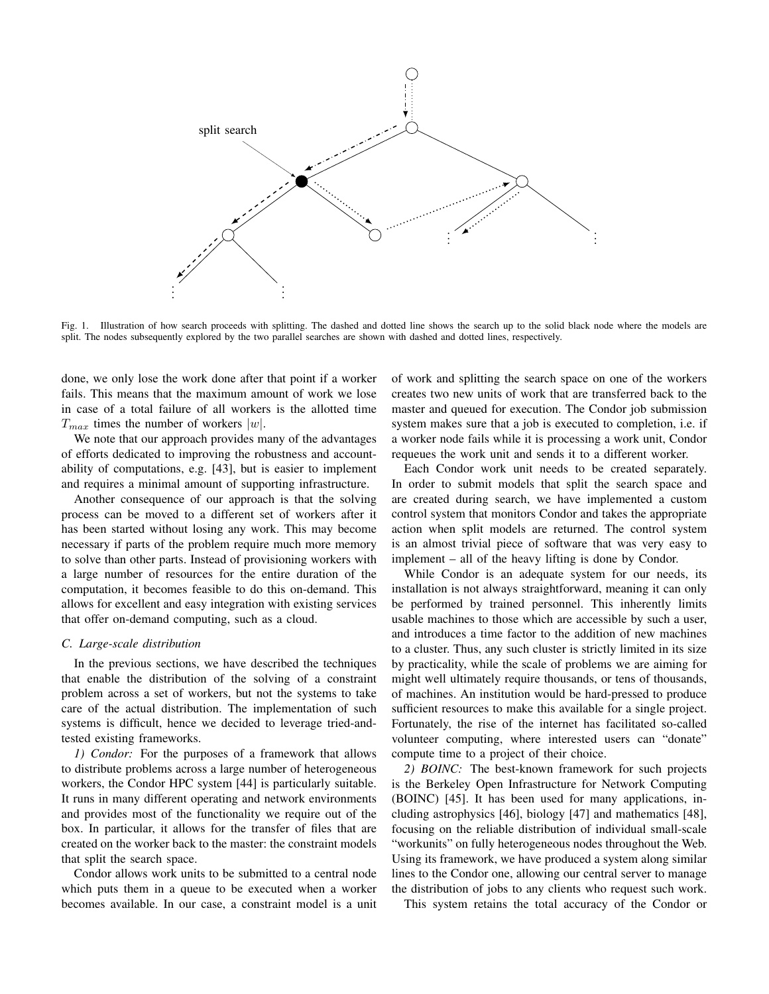

Fig. 1. Illustration of how search proceeds with splitting. The dashed and dotted line shows the search up to the solid black node where the models are split. The nodes subsequently explored by the two parallel searches are shown with dashed and dotted lines, respectively.

done, we only lose the work done after that point if a worker fails. This means that the maximum amount of work we lose in case of a total failure of all workers is the allotted time  $T_{max}$  times the number of workers |w|.

We note that our approach provides many of the advantages of efforts dedicated to improving the robustness and accountability of computations, e.g. [43], but is easier to implement and requires a minimal amount of supporting infrastructure.

Another consequence of our approach is that the solving process can be moved to a different set of workers after it has been started without losing any work. This may become necessary if parts of the problem require much more memory to solve than other parts. Instead of provisioning workers with a large number of resources for the entire duration of the computation, it becomes feasible to do this on-demand. This allows for excellent and easy integration with existing services that offer on-demand computing, such as a cloud.

#### *C. Large-scale distribution*

In the previous sections, we have described the techniques that enable the distribution of the solving of a constraint problem across a set of workers, but not the systems to take care of the actual distribution. The implementation of such systems is difficult, hence we decided to leverage tried-andtested existing frameworks.

*1) Condor:* For the purposes of a framework that allows to distribute problems across a large number of heterogeneous workers, the Condor HPC system [44] is particularly suitable. It runs in many different operating and network environments and provides most of the functionality we require out of the box. In particular, it allows for the transfer of files that are created on the worker back to the master: the constraint models that split the search space.

Condor allows work units to be submitted to a central node which puts them in a queue to be executed when a worker becomes available. In our case, a constraint model is a unit of work and splitting the search space on one of the workers creates two new units of work that are transferred back to the master and queued for execution. The Condor job submission system makes sure that a job is executed to completion, i.e. if a worker node fails while it is processing a work unit, Condor requeues the work unit and sends it to a different worker.

Each Condor work unit needs to be created separately. In order to submit models that split the search space and are created during search, we have implemented a custom control system that monitors Condor and takes the appropriate action when split models are returned. The control system is an almost trivial piece of software that was very easy to implement – all of the heavy lifting is done by Condor.

While Condor is an adequate system for our needs, its installation is not always straightforward, meaning it can only be performed by trained personnel. This inherently limits usable machines to those which are accessible by such a user, and introduces a time factor to the addition of new machines to a cluster. Thus, any such cluster is strictly limited in its size by practicality, while the scale of problems we are aiming for might well ultimately require thousands, or tens of thousands, of machines. An institution would be hard-pressed to produce sufficient resources to make this available for a single project. Fortunately, the rise of the internet has facilitated so-called volunteer computing, where interested users can "donate" compute time to a project of their choice.

*2) BOINC:* The best-known framework for such projects is the Berkeley Open Infrastructure for Network Computing (BOINC) [45]. It has been used for many applications, including astrophysics [46], biology [47] and mathematics [48], focusing on the reliable distribution of individual small-scale "workunits" on fully heterogeneous nodes throughout the Web. Using its framework, we have produced a system along similar lines to the Condor one, allowing our central server to manage the distribution of jobs to any clients who request such work.

This system retains the total accuracy of the Condor or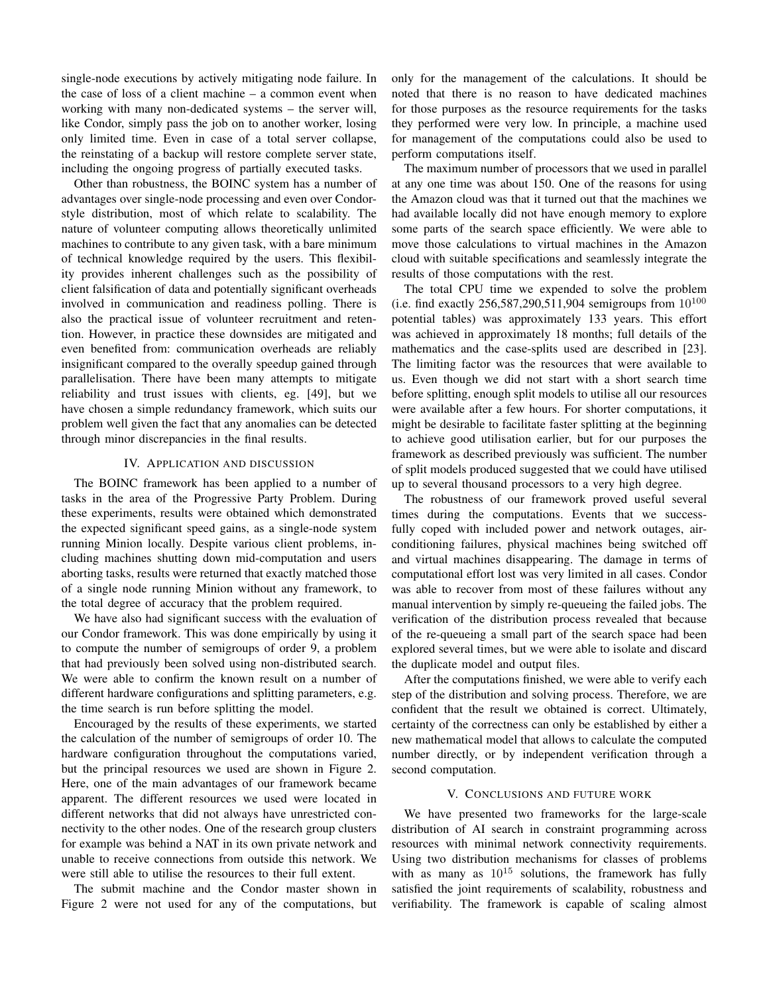single-node executions by actively mitigating node failure. In the case of loss of a client machine – a common event when working with many non-dedicated systems – the server will, like Condor, simply pass the job on to another worker, losing only limited time. Even in case of a total server collapse, the reinstating of a backup will restore complete server state, including the ongoing progress of partially executed tasks.

Other than robustness, the BOINC system has a number of advantages over single-node processing and even over Condorstyle distribution, most of which relate to scalability. The nature of volunteer computing allows theoretically unlimited machines to contribute to any given task, with a bare minimum of technical knowledge required by the users. This flexibility provides inherent challenges such as the possibility of client falsification of data and potentially significant overheads involved in communication and readiness polling. There is also the practical issue of volunteer recruitment and retention. However, in practice these downsides are mitigated and even benefited from: communication overheads are reliably insignificant compared to the overally speedup gained through parallelisation. There have been many attempts to mitigate reliability and trust issues with clients, eg. [49], but we have chosen a simple redundancy framework, which suits our problem well given the fact that any anomalies can be detected through minor discrepancies in the final results.

## IV. APPLICATION AND DISCUSSION

The BOINC framework has been applied to a number of tasks in the area of the Progressive Party Problem. During these experiments, results were obtained which demonstrated the expected significant speed gains, as a single-node system running Minion locally. Despite various client problems, including machines shutting down mid-computation and users aborting tasks, results were returned that exactly matched those of a single node running Minion without any framework, to the total degree of accuracy that the problem required.

We have also had significant success with the evaluation of our Condor framework. This was done empirically by using it to compute the number of semigroups of order 9, a problem that had previously been solved using non-distributed search. We were able to confirm the known result on a number of different hardware configurations and splitting parameters, e.g. the time search is run before splitting the model.

Encouraged by the results of these experiments, we started the calculation of the number of semigroups of order 10. The hardware configuration throughout the computations varied, but the principal resources we used are shown in Figure 2. Here, one of the main advantages of our framework became apparent. The different resources we used were located in different networks that did not always have unrestricted connectivity to the other nodes. One of the research group clusters for example was behind a NAT in its own private network and unable to receive connections from outside this network. We were still able to utilise the resources to their full extent.

The submit machine and the Condor master shown in Figure 2 were not used for any of the computations, but only for the management of the calculations. It should be noted that there is no reason to have dedicated machines for those purposes as the resource requirements for the tasks they performed were very low. In principle, a machine used for management of the computations could also be used to perform computations itself.

The maximum number of processors that we used in parallel at any one time was about 150. One of the reasons for using the Amazon cloud was that it turned out that the machines we had available locally did not have enough memory to explore some parts of the search space efficiently. We were able to move those calculations to virtual machines in the Amazon cloud with suitable specifications and seamlessly integrate the results of those computations with the rest.

The total CPU time we expended to solve the problem (i.e. find exactly 256,587,290,511,904 semigroups from  $10^{100}$ potential tables) was approximately 133 years. This effort was achieved in approximately 18 months; full details of the mathematics and the case-splits used are described in [23]. The limiting factor was the resources that were available to us. Even though we did not start with a short search time before splitting, enough split models to utilise all our resources were available after a few hours. For shorter computations, it might be desirable to facilitate faster splitting at the beginning to achieve good utilisation earlier, but for our purposes the framework as described previously was sufficient. The number of split models produced suggested that we could have utilised up to several thousand processors to a very high degree.

The robustness of our framework proved useful several times during the computations. Events that we successfully coped with included power and network outages, airconditioning failures, physical machines being switched off and virtual machines disappearing. The damage in terms of computational effort lost was very limited in all cases. Condor was able to recover from most of these failures without any manual intervention by simply re-queueing the failed jobs. The verification of the distribution process revealed that because of the re-queueing a small part of the search space had been explored several times, but we were able to isolate and discard the duplicate model and output files.

After the computations finished, we were able to verify each step of the distribution and solving process. Therefore, we are confident that the result we obtained is correct. Ultimately, certainty of the correctness can only be established by either a new mathematical model that allows to calculate the computed number directly, or by independent verification through a second computation.

#### V. CONCLUSIONS AND FUTURE WORK

We have presented two frameworks for the large-scale distribution of AI search in constraint programming across resources with minimal network connectivity requirements. Using two distribution mechanisms for classes of problems with as many as  $10^{15}$  solutions, the framework has fully satisfied the joint requirements of scalability, robustness and verifiability. The framework is capable of scaling almost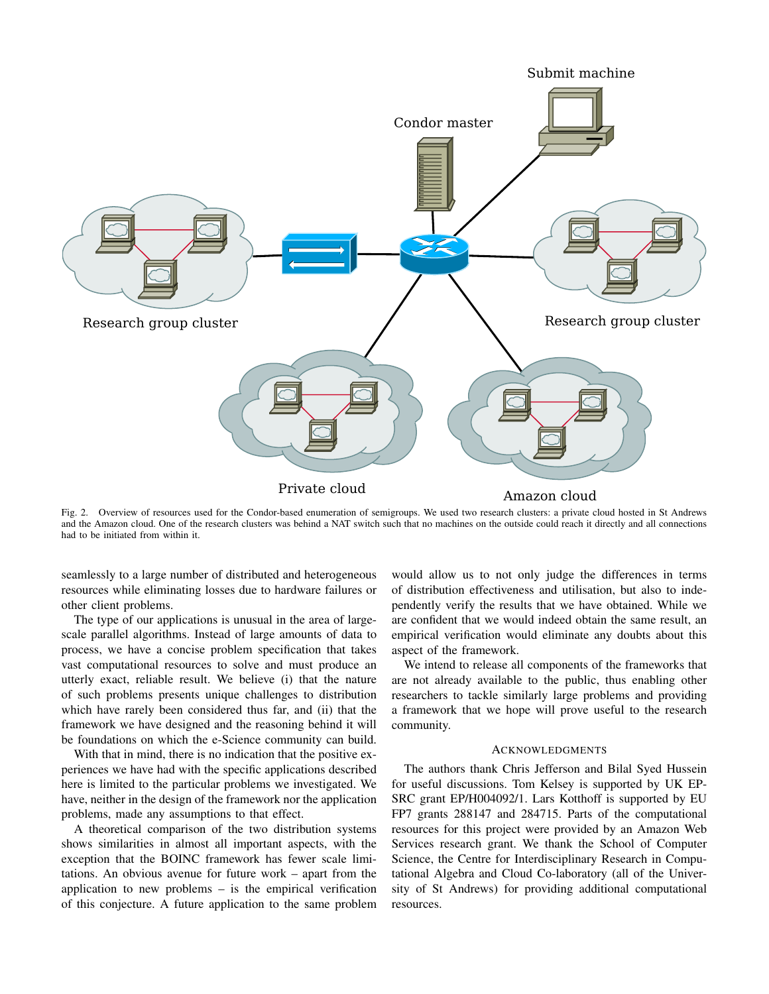

Fig. 2. Overview of resources used for the Condor-based enumeration of semigroups. We used two research clusters: a private cloud hosted in St Andrews and the Amazon cloud. One of the research clusters was behind a NAT switch such that no machines on the outside could reach it directly and all connections had to be initiated from within it.

seamlessly to a large number of distributed and heterogeneous resources while eliminating losses due to hardware failures or other client problems.

The type of our applications is unusual in the area of largescale parallel algorithms. Instead of large amounts of data to process, we have a concise problem specification that takes vast computational resources to solve and must produce an utterly exact, reliable result. We believe (i) that the nature of such problems presents unique challenges to distribution which have rarely been considered thus far, and (ii) that the framework we have designed and the reasoning behind it will be foundations on which the e-Science community can build.

With that in mind, there is no indication that the positive experiences we have had with the specific applications described here is limited to the particular problems we investigated. We have, neither in the design of the framework nor the application problems, made any assumptions to that effect.

A theoretical comparison of the two distribution systems shows similarities in almost all important aspects, with the exception that the BOINC framework has fewer scale limitations. An obvious avenue for future work – apart from the application to new problems – is the empirical verification of this conjecture. A future application to the same problem

would allow us to not only judge the differences in terms of distribution effectiveness and utilisation, but also to independently verify the results that we have obtained. While we are confident that we would indeed obtain the same result, an empirical verification would eliminate any doubts about this aspect of the framework.

We intend to release all components of the frameworks that are not already available to the public, thus enabling other researchers to tackle similarly large problems and providing a framework that we hope will prove useful to the research community.

#### ACKNOWLEDGMENTS

The authors thank Chris Jefferson and Bilal Syed Hussein for useful discussions. Tom Kelsey is supported by UK EP-SRC grant EP/H004092/1. Lars Kotthoff is supported by EU FP7 grants 288147 and 284715. Parts of the computational resources for this project were provided by an Amazon Web Services research grant. We thank the School of Computer Science, the Centre for Interdisciplinary Research in Computational Algebra and Cloud Co-laboratory (all of the University of St Andrews) for providing additional computational resources.